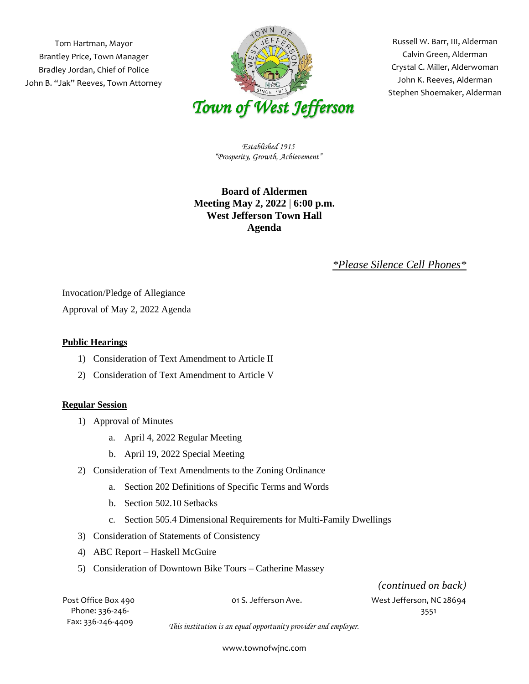Tom Hartman, Mayor Brantley Price, Town Manager Bradley Jordan, Chief of Police John B. "Jak" Reeves, Town Attorney



 Russell W. Barr, III, Alderman Crystal C. Miller, Alderwoman Stephen Shoemaker, Alderman Calvin Green, Alderman John K. Reeves, Alderman

*Established 1915 "Prosperity, Growth, Achievement"*

## **Board of Aldermen Meeting May 2, 2022** | **6:00 p.m. West Jefferson Town Hall Agenda**

## *\*Please Silence Cell Phones\**

Invocation/Pledge of Allegiance

Approval of May 2, 2022 Agenda

## **Public Hearings**

- 1) Consideration of Text Amendment to Article II
- 2) Consideration of Text Amendment to Article V

## **Regular Session**

- 1) Approval of Minutes
	- a. April 4, 2022 Regular Meeting
	- b. April 19, 2022 Special Meeting
- 2) Consideration of Text Amendments to the Zoning Ordinance
	- a. Section 202 Definitions of Specific Terms and Words
	- b. Section 502.10 Setbacks
	- c. Section 505.4 Dimensional Requirements for Multi-Family Dwellings
- 3) Consideration of Statements of Consistency
- 4) ABC Report Haskell McGuire
- 5) Consideration of Downtown Bike Tours Catherine Massey

Post Office Box 490 01 S. Jefferson Ave. West Jefferson, NC 28694 *(continued on back)*

Phone: 336-246- 3551 Fax: 336-246-4409

*This institution is an equal opportunity provider and employer.*